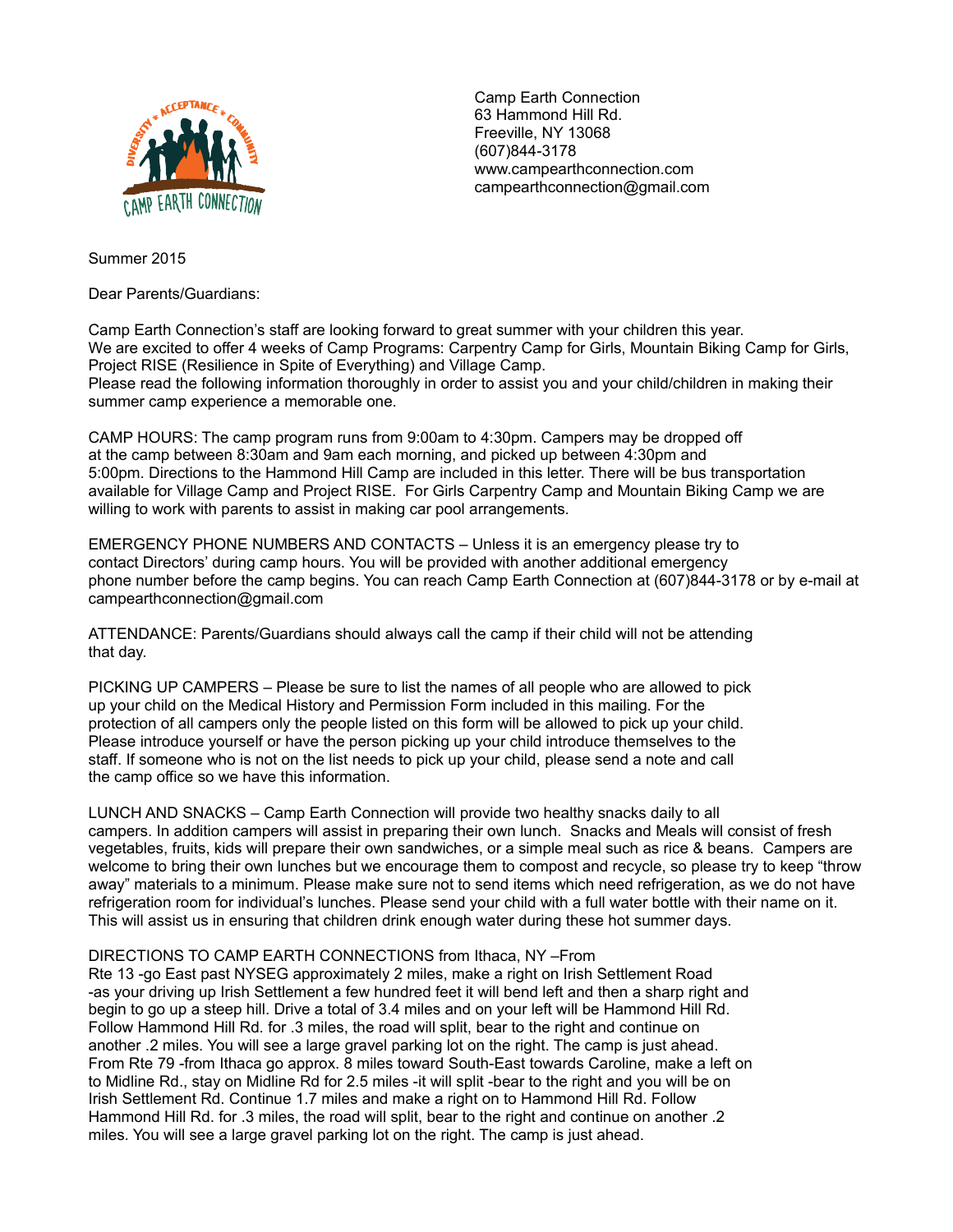

Camp Earth Connection 63 Hammond Hill Rd. Freeville, NY 13068 (607)844-3178 www.campearthconnection.com campearthconnection@gmail.com

Summer 2015

Dear Parents/Guardians:

Camp Earth Connection's staff are looking forward to great summer with your children this year. We are excited to offer 4 weeks of Camp Programs: Carpentry Camp for Girls, Mountain Biking Camp for Girls, Project RISE (Resilience in Spite of Everything) and Village Camp. Please read the following information thoroughly in order to assist you and your child/children in making their summer camp experience a memorable one.

CAMP HOURS: The camp program runs from 9:00am to 4:30pm. Campers may be dropped off at the camp between 8:30am and 9am each morning, and picked up between 4:30pm and 5:00pm. Directions to the Hammond Hill Camp are included in this letter. There will be bus transportation available for Village Camp and Project RISE. For Girls Carpentry Camp and Mountain Biking Camp we are willing to work with parents to assist in making car pool arrangements.

EMERGENCY PHONE NUMBERS AND CONTACTS – Unless it is an emergency please try to contact Directors' during camp hours. You will be provided with another additional emergency phone number before the camp begins. You can reach Camp Earth Connection at (607)844-3178 or by e-mail at campearthconnection@gmail.com

ATTENDANCE: Parents/Guardians should always call the camp if their child will not be attending that day.

PICKING UP CAMPERS – Please be sure to list the names of all people who are allowed to pick up your child on the Medical History and Permission Form included in this mailing. For the protection of all campers only the people listed on this form will be allowed to pick up your child. Please introduce yourself or have the person picking up your child introduce themselves to the staff. If someone who is not on the list needs to pick up your child, please send a note and call the camp office so we have this information.

LUNCH AND SNACKS – Camp Earth Connection will provide two healthy snacks daily to all campers. In addition campers will assist in preparing their own lunch. Snacks and Meals will consist of fresh vegetables, fruits, kids will prepare their own sandwiches, or a simple meal such as rice & beans. Campers are welcome to bring their own lunches but we encourage them to compost and recycle, so please try to keep "throw away" materials to a minimum. Please make sure not to send items which need refrigeration, as we do not have refrigeration room for individual's lunches. Please send your child with a full water bottle with their name on it. This will assist us in ensuring that children drink enough water during these hot summer days.

## DIRECTIONS TO CAMP EARTH CONNECTIONS from Ithaca, NY –From

Rte 13 -go East past NYSEG approximately 2 miles, make a right on Irish Settlement Road -as your driving up Irish Settlement a few hundred feet it will bend left and then a sharp right and begin to go up a steep hill. Drive a total of 3.4 miles and on your left will be Hammond Hill Rd. Follow Hammond Hill Rd. for .3 miles, the road will split, bear to the right and continue on another .2 miles. You will see a large gravel parking lot on the right. The camp is just ahead. From Rte 79 -from Ithaca go approx. 8 miles toward South-East towards Caroline, make a left on to Midline Rd., stay on Midline Rd for 2.5 miles -it will split -bear to the right and you will be on Irish Settlement Rd. Continue 1.7 miles and make a right on to Hammond Hill Rd. Follow Hammond Hill Rd. for .3 miles, the road will split, bear to the right and continue on another .2 miles. You will see a large gravel parking lot on the right. The camp is just ahead.